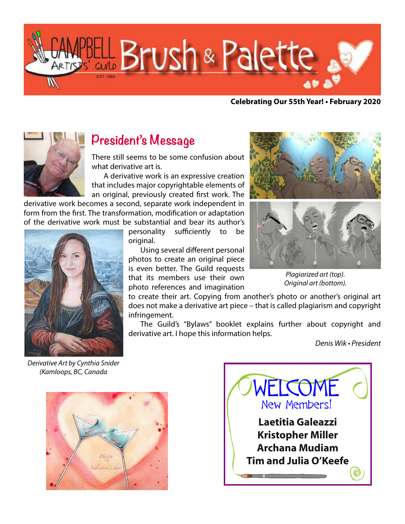

**Celebrating Our 55th Year! • February 2020**



## **President's Message**

There still seems to be some confusion about what derivative art is.

A derivative work is an expressive creation that includes major copyrightable elements of an original, previously created first work. The

derivative work becomes a second, separate work independent in form from the first. The transformation, modification or adaptation of the derivative work must be substantial and bear its author's



personality sufficiently to be original.

Using several different personal photos to create an original piece is even better. The Guild requests that its members use their own photo references and imagination



Plagiarized art (top). Original art (bottom).

to create their art. Copying from another's photo or another's original art does not make a derivative art piece – that is called plagiarism and copyright infringement.

The Guild's "Bylaws" booklet explains further about copyright and derivative art. I hope this information helps.

Denis Wik • President

Derivative Art by Cynthia Snider (Kamloops, BC, Canada



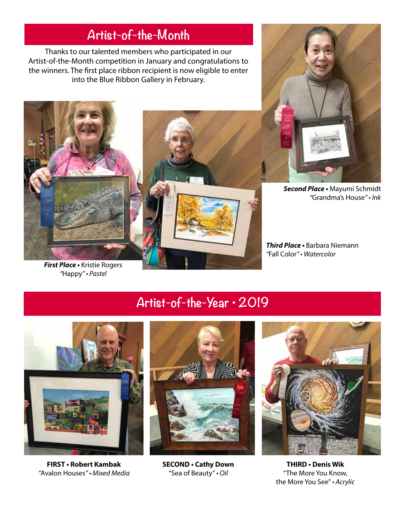# **Artist-of-the-Month**

Thanks to our talented members who participated in our Artist-of-the-Month competition in January and congratulations to the winners. The first place ribbon recipient is now eligible to enter into the Blue Ribbon Gallery in February.



**First Place •** Kristie Rogers *"*Happy" • Pastel



**Second Place •** Mayumi Schmidt *"*Grandma's House" • Ink

**Third Place •** Barbara Niemann *"*Fall Color" • Watercolor

# **Artist-of-the-Year • 2019**



**FIRST • Robert Kambak SECOND • Cathy Down THIRD • Denis Wik** *"*Avalon Houses" • Mixed Media "Sea of Beauty" • Oil "The More You Know,





the More You See" • Acrylic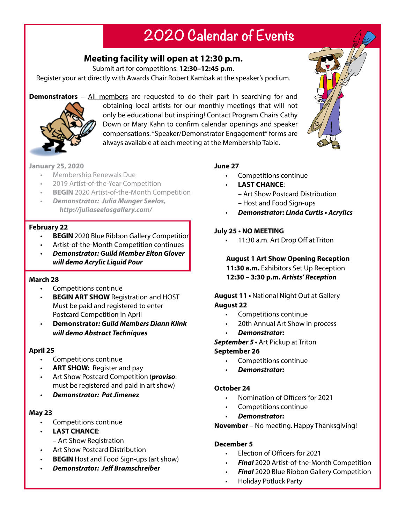# **2020 Calendar of Events**

### **Meeting facility will open at 12:30 p.m.**

Submit art for competitions: **12:30–12:45 p.m**.

Register your art directly with Awards Chair Robert Kambak at the speaker's podium.

**Demonstrators** – All members are requested to do their part in searching for and



obtaining local artists for our monthly meetings that will not only be educational but inspiring! Contact Program Chairs Cathy Down or Mary Kahn to confirm calendar openings and speaker compensations. "Speaker/Demonstrator Engagement" forms are always available at each meeting at the Membership Table.

#### **January 25, 2020**

- • Membership Renewals Due
- 2019 Artist-of-the-Year Competition
- **BEGIN** 2020 Artist-of-the-Month Competition
- • *Demonstrator: Julia Munger Seelos, http://juliaseelosgallery.com/*

#### **February 22**

- **BEGIN** 2020 Blue Ribbon Gallery Competition
- Artist-of-the-Month Competition continues
- • *Demonstrator: Guild Member Elton Glover will demo Acrylic Liquid Pour*

#### **March 28**

- Competitions continue
- **BEGIN ART SHOW** Registration and HOST Must be paid and registered to enter **Postcard Competition in April**
- **Demonstrator***: Guild Members Diann Klink will demo Abstract Techniques*

#### **April 25**

- Competitions continue
- **ART SHOW:** Register and pay
- Art Show Postcard Competition (*proviso*: must be registered and paid in art show)
- *Demonstrator: Pat Jimenez*

#### **May 23**

- Competitions continue
- **LAST CHANCE:** 
	- Art Show Registration
- Art Show Postcard Distribution
- **BEGIN** Host and Food Sign-ups (art show)
- *Demonstrator: Jeff Bramschreiber*

#### **June 27**

- • Competitions continue
- **LAST CHANCE:** 
	- Art Show Postcard Distribution
	- Host and Food Sign-ups
	- *Demonstrator***: Linda Curtis Acrylics**

#### **July 25 • NO MEETING**

11:30 a.m. Art Drop Off at Triton

## **August 1 Art Show Opening Reception**

**11:30 a.m.** Exhibitors Set Up Reception **12:30 – 3:30 p.m.** *Artists' Reception*

#### **August 11 •** National Night Out at Gallery **August 22**

- • Competitions continue
- 20th Annual Art Show in process
- *Demonstrator:*

**September 5 •** Art Pickup at Triton

#### **September 26**

- Competitions continue
- *Demonstrator:*

#### **October 24**

- Nomination of Officers for 2021
- Competitions continue
- *Demonstrator:*

**November** – No meeting. Happy Thanksgiving!

## **December 5**

- Election of Officers for 2021
- **Final** 2020 Artist-of-the-Month Competition
- **Final** 2020 Blue Ribbon Gallery Competition
- **Holiday Potluck Party**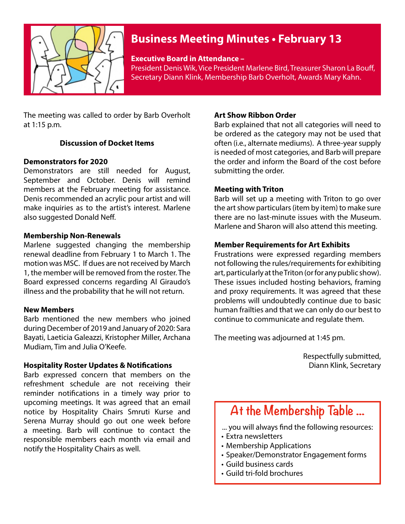

## **Business Meeting Minutes • February 13**

#### **Executive Board in Attendance –**

President Denis Wik, Vice President Marlene Bird, Treasurer Sharon La Bouff, Secretary Diann Klink, Membership Barb Overholt, Awards Mary Kahn.

The meeting was called to order by Barb Overholt at 1:15 p.m.

#### **Discussion of Docket Items**

#### **Demonstrators for 2020**

Demonstrators are still needed for August, September and October. Denis will remind members at the February meeting for assistance. Denis recommended an acrylic pour artist and will make inquiries as to the artist's interest. Marlene also suggested Donald Neff.

#### **Membership Non-Renewals**

Marlene suggested changing the membership renewal deadline from February 1 to March 1. The motion was MSC. If dues are not received by March 1, the member will be removed from the roster. The Board expressed concerns regarding Al Giraudo's illness and the probability that he will not return.

#### **New Members**

Barb mentioned the new members who joined duringDecember of 2019 and January of 2020: Sara Bayati, Laeticia Galeazzi, Kristopher Miller, Archana Mudiam, Tim and Julia O'Keefe.

#### **Hospitality Roster Updates & Notifications**

Barb expressed concern that members on the refreshment schedule are not receiving their reminder notifications in a timely way prior to upcoming meetings. It was agreed that an email notice by Hospitality Chairs Smruti Kurse and Serena Murray should go out one week before a meeting. Barb will continue to contact the responsible members each month via email and notify the Hospitality Chairs as well.

#### **Art Show Ribbon Order**

Barb explained that not all categories will need to be ordered as the category may not be used that often (i.e., alternate mediums). A three-year supply is needed of most categories, and Barb will prepare the order and inform the Board of the cost before submitting the order.

#### **Meeting with Triton**

Barb will set up a meeting with Triton to go over the art show particulars (item by item) to make sure there are no last-minute issues with the Museum. Marlene and Sharon will also attend this meeting.

#### **Member Requirements for Art Exhibits**

Frustrations were expressed regarding members not following the rules/requirements for exhibiting art, particularly at the Triton (or for any public show). These issues included hosting behaviors, framing and proxy requirements. It was agreed that these problems will undoubtedly continue due to basic human frailties and that we can only do our best to continue to communicate and regulate them.

The meeting was adjourned at 1:45 pm.

Respectfully submitted, Diann Klink, Secretary

# **At the Membership Table ...**

- ... you will always find the following resources:
- • Extra newsletters
- • Membership Applications
- • Speaker/Demonstrator Engagement forms
- • Guild business cards
- • Guild tri-fold brochures